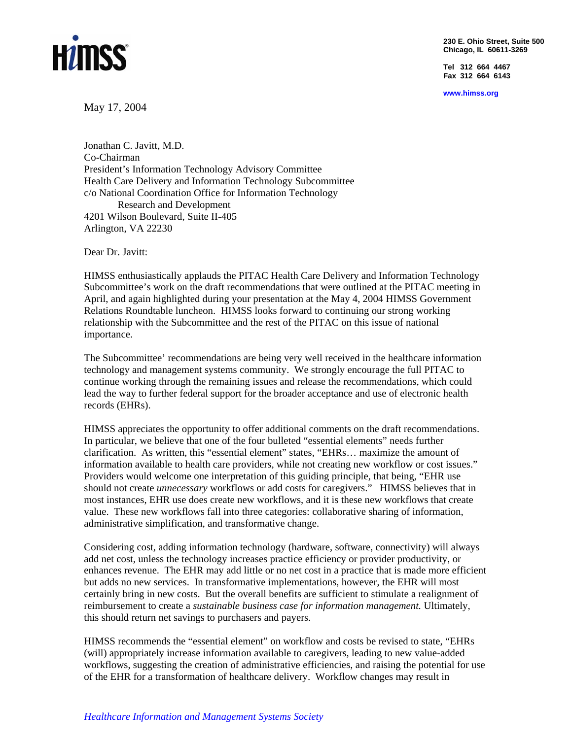

**230 E. Ohio Street, Suite 500 Chicago, IL 60611-3269**

**Tel 312 664 4467 Fax 312 664 6143** 

**www.himss.org** 

May 17, 2004

Jonathan C. Javitt, M.D. Co-Chairman President's Information Technology Advisory Committee Health Care Delivery and Information Technology Subcommittee c/o National Coordination Office for Information Technology Research and Development 4201 Wilson Boulevard, Suite II-405 Arlington, VA 22230

Dear Dr. Javitt:

HIMSS enthusiastically applauds the PITAC Health Care Delivery and Information Technology Subcommittee's work on the draft recommendations that were outlined at the PITAC meeting in April, and again highlighted during your presentation at the May 4, 2004 HIMSS Government Relations Roundtable luncheon. HIMSS looks forward to continuing our strong working relationship with the Subcommittee and the rest of the PITAC on this issue of national importance.

The Subcommittee' recommendations are being very well received in the healthcare information technology and management systems community. We strongly encourage the full PITAC to continue working through the remaining issues and release the recommendations, which could lead the way to further federal support for the broader acceptance and use of electronic health records (EHRs).

HIMSS appreciates the opportunity to offer additional comments on the draft recommendations. In particular, we believe that one of the four bulleted "essential elements" needs further clarification. As written, this "essential element" states, "EHRs… maximize the amount of information available to health care providers, while not creating new workflow or cost issues." Providers would welcome one interpretation of this guiding principle, that being, "EHR use should not create *unnecessary* workflows or add costs for caregivers." HIMSS believes that in most instances, EHR use does create new workflows, and it is these new workflows that create value. These new workflows fall into three categories: collaborative sharing of information, administrative simplification, and transformative change.

Considering cost, adding information technology (hardware, software, connectivity) will always add net cost, unless the technology increases practice efficiency or provider productivity, or enhances revenue. The EHR may add little or no net cost in a practice that is made more efficient but adds no new services. In transformative implementations, however, the EHR will most certainly bring in new costs. But the overall benefits are sufficient to stimulate a realignment of reimbursement to create a *sustainable business case for information management.* Ultimately, this should return net savings to purchasers and payers.

HIMSS recommends the "essential element" on workflow and costs be revised to state, "EHRs (will) appropriately increase information available to caregivers, leading to new value-added workflows, suggesting the creation of administrative efficiencies, and raising the potential for use of the EHR for a transformation of healthcare delivery. Workflow changes may result in